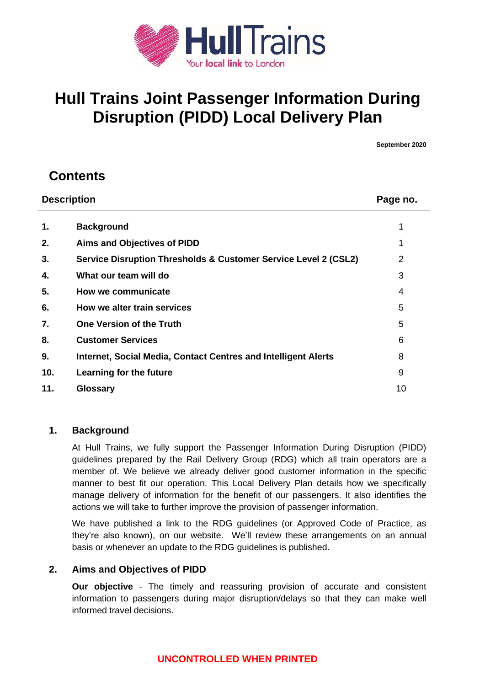

# **Hull Trains Joint Passenger Information During Disruption (PIDD) Local Delivery Plan**

**September 2020**

## **Contents**

| <b>Description</b> |                                                                 | Page no. |
|--------------------|-----------------------------------------------------------------|----------|
| 1.                 | <b>Background</b>                                               |          |
| 2.                 | <b>Aims and Objectives of PIDD</b>                              | 1        |
| 3.                 | Service Disruption Thresholds & Customer Service Level 2 (CSL2) | 2        |
| 4.                 | What our team will do                                           | 3        |
| 5.                 | How we communicate                                              | 4        |
| 6.                 | How we alter train services                                     | 5        |
| 7.                 | <b>One Version of the Truth</b>                                 | 5        |
| 8.                 | <b>Customer Services</b>                                        | 6        |
| 9.                 | Internet, Social Media, Contact Centres and Intelligent Alerts  | 8        |
| 10.                | Learning for the future                                         | 9        |
| 11.                | <b>Glossary</b>                                                 | 10       |

### **1. Background**

At Hull Trains, we fully support the Passenger Information During Disruption (PIDD) guidelines prepared by the Rail Delivery Group (RDG) which all train operators are a member of. We believe we already deliver good customer information in the specific manner to best fit our operation. This Local Delivery Plan details how we specifically manage delivery of information for the benefit of our passengers. It also identifies the actions we will take to further improve the provision of passenger information.

We have published a link to the RDG guidelines (or Approved Code of Practice, as they're also known), on our website. We'll review these arrangements on an annual basis or whenever an update to the RDG guidelines is published.

#### **2. Aims and Objectives of PIDD**

**Our objective** - The timely and reassuring provision of accurate and consistent information to passengers during major disruption/delays so that they can make well informed travel decisions.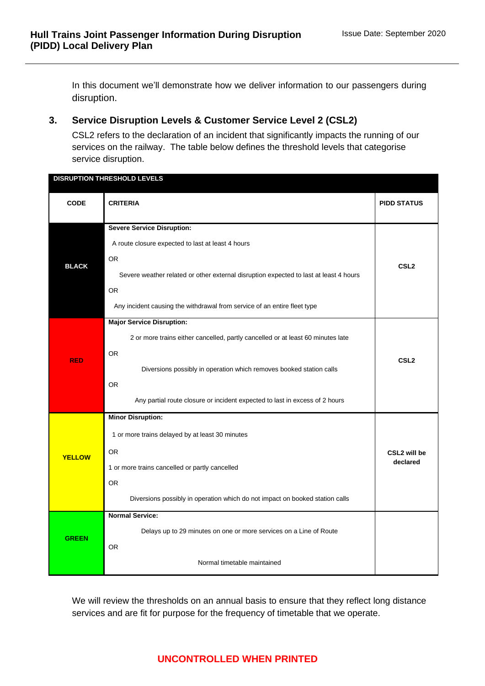In this document we'll demonstrate how we deliver information to our passengers during disruption.

## **3. Service Disruption Levels & Customer Service Level 2 (CSL2)**

CSL2 refers to the declaration of an incident that significantly impacts the running of our services on the railway. The table below defines the threshold levels that categorise service disruption.

| <b>DISRUPTION THRESHOLD LEVELS</b> |                                                                                       |                    |  |
|------------------------------------|---------------------------------------------------------------------------------------|--------------------|--|
| <b>CODE</b>                        | <b>CRITERIA</b>                                                                       | <b>PIDD STATUS</b> |  |
|                                    | <b>Severe Service Disruption:</b>                                                     |                    |  |
|                                    | A route closure expected to last at least 4 hours                                     |                    |  |
| <b>BLACK</b>                       | <b>OR</b>                                                                             | CSL <sub>2</sub>   |  |
|                                    | Severe weather related or other external disruption expected to last at least 4 hours |                    |  |
|                                    | <b>OR</b>                                                                             |                    |  |
|                                    | Any incident causing the withdrawal from service of an entire fleet type              |                    |  |
|                                    | <b>Major Service Disruption:</b>                                                      |                    |  |
|                                    | 2 or more trains either cancelled, partly cancelled or at least 60 minutes late       |                    |  |
|                                    | <b>OR</b>                                                                             |                    |  |
| <b>RED</b>                         | Diversions possibly in operation which removes booked station calls                   | CSL <sub>2</sub>   |  |
|                                    | <b>OR</b>                                                                             |                    |  |
|                                    | Any partial route closure or incident expected to last in excess of 2 hours           |                    |  |
|                                    | <b>Minor Disruption:</b>                                                              |                    |  |
|                                    | 1 or more trains delayed by at least 30 minutes                                       |                    |  |
| <b>YELLOW</b>                      | <b>OR</b>                                                                             | CSL2 will be       |  |
|                                    | 1 or more trains cancelled or partly cancelled                                        | declared           |  |
|                                    | OR.                                                                                   |                    |  |
|                                    | Diversions possibly in operation which do not impact on booked station calls          |                    |  |
|                                    | <b>Normal Service:</b>                                                                |                    |  |
|                                    | Delays up to 29 minutes on one or more services on a Line of Route                    |                    |  |
| <b>GREEN</b>                       | <b>OR</b>                                                                             |                    |  |
|                                    | Normal timetable maintained                                                           |                    |  |

We will review the thresholds on an annual basis to ensure that they reflect long distance services and are fit for purpose for the frequency of timetable that we operate.

## **UNCONTROLLED WHEN PRINTED**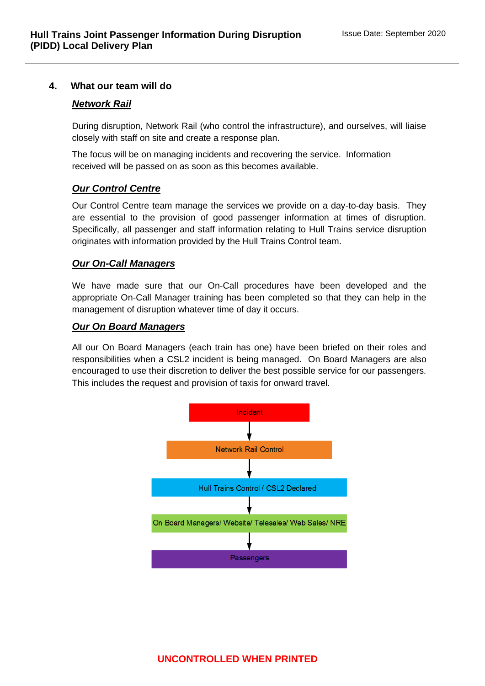#### **4. What our team will do**

#### *Network Rail*

During disruption, Network Rail (who control the infrastructure), and ourselves, will liaise closely with staff on site and create a response plan.

The focus will be on managing incidents and recovering the service. Information received will be passed on as soon as this becomes available.

#### *Our Control Centre*

Our Control Centre team manage the services we provide on a day-to-day basis. They are essential to the provision of good passenger information at times of disruption. Specifically, all passenger and staff information relating to Hull Trains service disruption originates with information provided by the Hull Trains Control team.

#### *Our On-Call Managers*

We have made sure that our On-Call procedures have been developed and the appropriate On-Call Manager training has been completed so that they can help in the management of disruption whatever time of day it occurs.

#### *Our On Board Managers*

All our On Board Managers (each train has one) have been briefed on their roles and responsibilities when a CSL2 incident is being managed. On Board Managers are also encouraged to use their discretion to deliver the best possible service for our passengers. This includes the request and provision of taxis for onward travel.

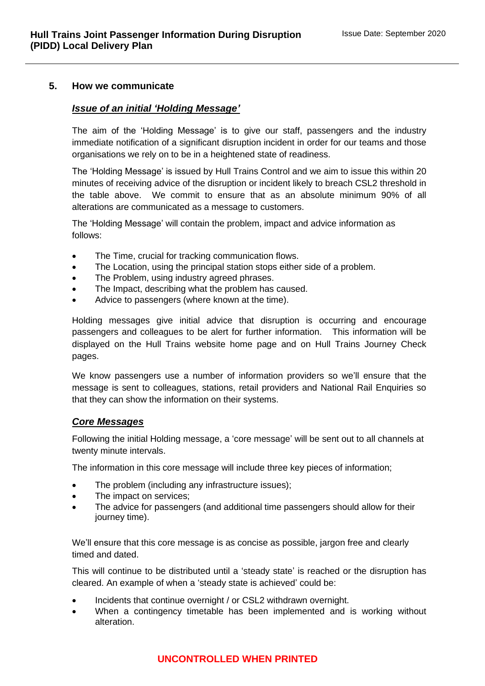#### **5. How we communicate**

#### *Issue of an initial 'Holding Message'*

The aim of the 'Holding Message' is to give our staff, passengers and the industry immediate notification of a significant disruption incident in order for our teams and those organisations we rely on to be in a heightened state of readiness.

The 'Holding Message' is issued by Hull Trains Control and we aim to issue this within 20 minutes of receiving advice of the disruption or incident likely to breach CSL2 threshold in the table above. We commit to ensure that as an absolute minimum 90% of all alterations are communicated as a message to customers.

The 'Holding Message' will contain the problem, impact and advice information as follows:

- The Time, crucial for tracking communication flows.
- The Location, using the principal station stops either side of a problem.
- The Problem, using industry agreed phrases.
- The Impact, describing what the problem has caused.
- Advice to passengers (where known at the time).

Holding messages give initial advice that disruption is occurring and encourage passengers and colleagues to be alert for further information. This information will be displayed on the Hull Trains website home page and on Hull Trains Journey Check pages.

We know passengers use a number of information providers so we'll ensure that the message is sent to colleagues, stations, retail providers and National Rail Enquiries so that they can show the information on their systems.

#### *Core Messages*

Following the initial Holding message, a 'core message' will be sent out to all channels at twenty minute intervals.

The information in this core message will include three key pieces of information;

- The problem (including any infrastructure issues);
- The impact on services:
- The advice for passengers (and additional time passengers should allow for their journey time).

We'll ensure that this core message is as concise as possible, jargon free and clearly timed and dated.

This will continue to be distributed until a 'steady state' is reached or the disruption has cleared. An example of when a 'steady state is achieved' could be:

- Incidents that continue overnight / or CSL2 withdrawn overnight.
- When a contingency timetable has been implemented and is working without alteration.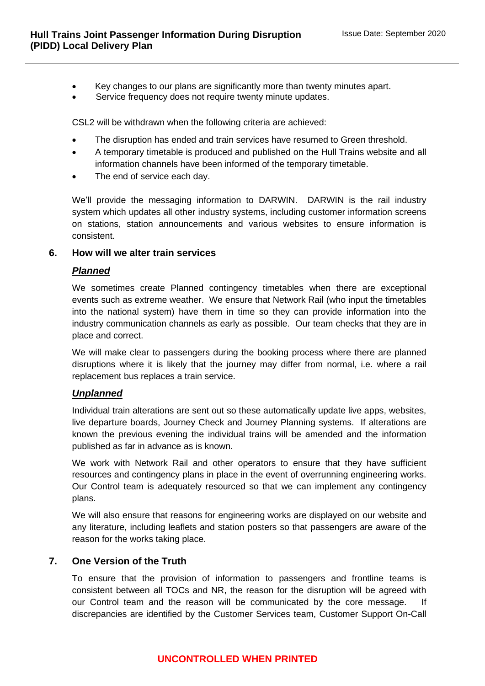- Key changes to our plans are significantly more than twenty minutes apart.
- Service frequency does not require twenty minute updates.

CSL2 will be withdrawn when the following criteria are achieved:

- The disruption has ended and train services have resumed to Green threshold.
- A temporary timetable is produced and published on the Hull Trains website and all information channels have been informed of the temporary timetable.
- The end of service each day.

We'll provide the messaging information to DARWIN. DARWIN is the rail industry system which updates all other industry systems, including customer information screens on stations, station announcements and various websites to ensure information is consistent.

#### **6. How will we alter train services**

#### *Planned*

We sometimes create Planned contingency timetables when there are exceptional events such as extreme weather. We ensure that Network Rail (who input the timetables into the national system) have them in time so they can provide information into the industry communication channels as early as possible. Our team checks that they are in place and correct.

We will make clear to passengers during the booking process where there are planned disruptions where it is likely that the journey may differ from normal, i.e. where a rail replacement bus replaces a train service.

#### *Unplanned*

Individual train alterations are sent out so these automatically update live apps, websites, live departure boards, Journey Check and Journey Planning systems. If alterations are known the previous evening the individual trains will be amended and the information published as far in advance as is known.

We work with Network Rail and other operators to ensure that they have sufficient resources and contingency plans in place in the event of overrunning engineering works. Our Control team is adequately resourced so that we can implement any contingency plans.

We will also ensure that reasons for engineering works are displayed on our website and any literature, including leaflets and station posters so that passengers are aware of the reason for the works taking place.

#### **7. One Version of the Truth**

To ensure that the provision of information to passengers and frontline teams is consistent between all TOCs and NR, the reason for the disruption will be agreed with our Control team and the reason will be communicated by the core message. If discrepancies are identified by the Customer Services team, Customer Support On-Call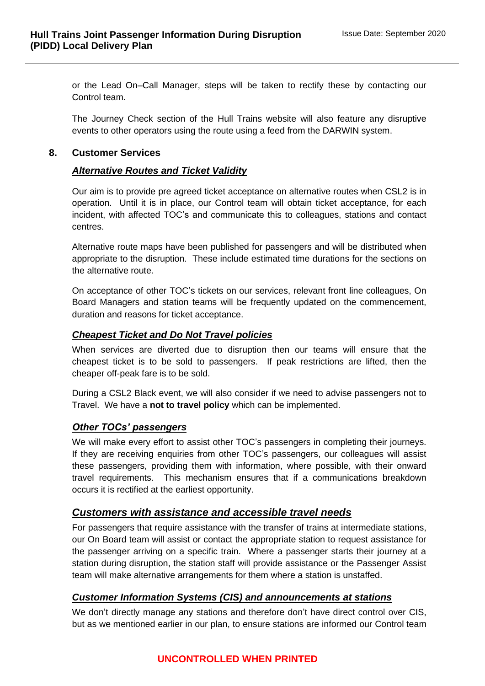or the Lead On–Call Manager, steps will be taken to rectify these by contacting our Control team.

The Journey Check section of the Hull Trains website will also feature any disruptive events to other operators using the route using a feed from the DARWIN system.

#### **8. Customer Services**

#### *Alternative Routes and Ticket Validity*

Our aim is to provide pre agreed ticket acceptance on alternative routes when CSL2 is in operation. Until it is in place, our Control team will obtain ticket acceptance, for each incident, with affected TOC's and communicate this to colleagues, stations and contact centres.

Alternative route maps have been published for passengers and will be distributed when appropriate to the disruption. These include estimated time durations for the sections on the alternative route.

On acceptance of other TOC's tickets on our services, relevant front line colleagues, On Board Managers and station teams will be frequently updated on the commencement, duration and reasons for ticket acceptance.

#### *Cheapest Ticket and Do Not Travel policies*

When services are diverted due to disruption then our teams will ensure that the cheapest ticket is to be sold to passengers. If peak restrictions are lifted, then the cheaper off-peak fare is to be sold.

During a CSL2 Black event, we will also consider if we need to advise passengers not to Travel. We have a **not to travel policy** which can be implemented.

#### *Other TOCs' passengers*

We will make every effort to assist other TOC's passengers in completing their journeys. If they are receiving enquiries from other TOC's passengers, our colleagues will assist these passengers, providing them with information, where possible, with their onward travel requirements. This mechanism ensures that if a communications breakdown occurs it is rectified at the earliest opportunity.

#### *Customers with assistance and accessible travel needs*

For passengers that require assistance with the transfer of trains at intermediate stations, our On Board team will assist or contact the appropriate station to request assistance for the passenger arriving on a specific train. Where a passenger starts their journey at a station during disruption, the station staff will provide assistance or the Passenger Assist team will make alternative arrangements for them where a station is unstaffed.

#### *Customer Information Systems (CIS) and announcements at stations*

We don't directly manage any stations and therefore don't have direct control over CIS, but as we mentioned earlier in our plan, to ensure stations are informed our Control team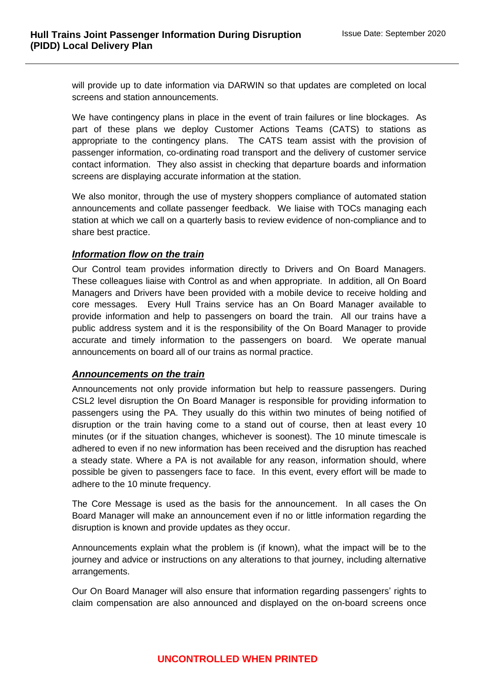will provide up to date information via DARWIN so that updates are completed on local screens and station announcements.

We have contingency plans in place in the event of train failures or line blockages. As part of these plans we deploy Customer Actions Teams (CATS) to stations as appropriate to the contingency plans. The CATS team assist with the provision of passenger information, co-ordinating road transport and the delivery of customer service contact information. They also assist in checking that departure boards and information screens are displaying accurate information at the station.

We also monitor, through the use of mystery shoppers compliance of automated station announcements and collate passenger feedback. We liaise with TOCs managing each station at which we call on a quarterly basis to review evidence of non-compliance and to share best practice.

#### *Information flow on the train*

Our Control team provides information directly to Drivers and On Board Managers. These colleagues liaise with Control as and when appropriate. In addition, all On Board Managers and Drivers have been provided with a mobile device to receive holding and core messages. Every Hull Trains service has an On Board Manager available to provide information and help to passengers on board the train. All our trains have a public address system and it is the responsibility of the On Board Manager to provide accurate and timely information to the passengers on board. We operate manual announcements on board all of our trains as normal practice.

#### *Announcements on the train*

Announcements not only provide information but help to reassure passengers. During CSL2 level disruption the On Board Manager is responsible for providing information to passengers using the PA. They usually do this within two minutes of being notified of disruption or the train having come to a stand out of course, then at least every 10 minutes (or if the situation changes, whichever is soonest). The 10 minute timescale is adhered to even if no new information has been received and the disruption has reached a steady state. Where a PA is not available for any reason, information should, where possible be given to passengers face to face. In this event, every effort will be made to adhere to the 10 minute frequency.

The Core Message is used as the basis for the announcement. In all cases the On Board Manager will make an announcement even if no or little information regarding the disruption is known and provide updates as they occur.

Announcements explain what the problem is (if known), what the impact will be to the journey and advice or instructions on any alterations to that journey, including alternative arrangements.

Our On Board Manager will also ensure that information regarding passengers' rights to claim compensation are also announced and displayed on the on-board screens once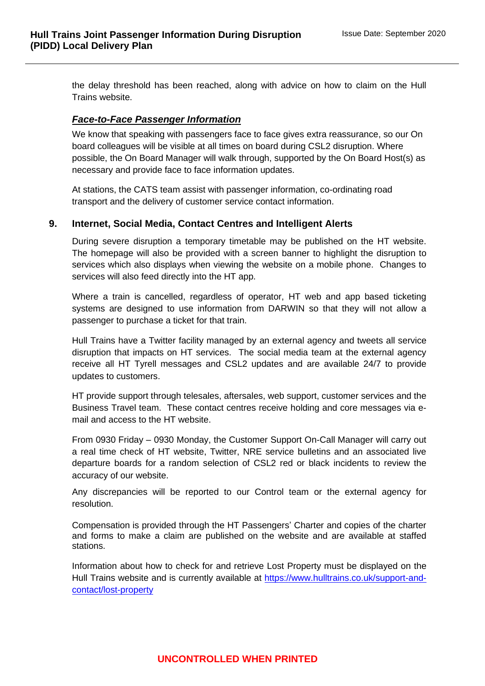the delay threshold has been reached, along with advice on how to claim on the Hull Trains website.

#### *Face-to-Face Passenger Information*

We know that speaking with passengers face to face gives extra reassurance, so our On board colleagues will be visible at all times on board during CSL2 disruption. Where possible, the On Board Manager will walk through, supported by the On Board Host(s) as necessary and provide face to face information updates.

At stations, the CATS team assist with passenger information, co-ordinating road transport and the delivery of customer service contact information.

#### **9. Internet, Social Media, Contact Centres and Intelligent Alerts**

During severe disruption a temporary timetable may be published on the HT website. The homepage will also be provided with a screen banner to highlight the disruption to services which also displays when viewing the website on a mobile phone. Changes to services will also feed directly into the HT app.

Where a train is cancelled, regardless of operator, HT web and app based ticketing systems are designed to use information from DARWIN so that they will not allow a passenger to purchase a ticket for that train.

Hull Trains have a Twitter facility managed by an external agency and tweets all service disruption that impacts on HT services. The social media team at the external agency receive all HT Tyrell messages and CSL2 updates and are available 24/7 to provide updates to customers.

HT provide support through telesales, aftersales, web support, customer services and the Business Travel team. These contact centres receive holding and core messages via email and access to the HT website.

From 0930 Friday – 0930 Monday, the Customer Support On-Call Manager will carry out a real time check of HT website, Twitter, NRE service bulletins and an associated live departure boards for a random selection of CSL2 red or black incidents to review the accuracy of our website.

Any discrepancies will be reported to our Control team or the external agency for resolution.

Compensation is provided through the HT Passengers' Charter and copies of the charter and forms to make a claim are published on the website and are available at staffed stations.

Information about how to check for and retrieve Lost Property must be displayed on the Hull Trains website and is currently available at [https://www.hulltrains.co.uk/support-and](https://www.hulltrains.co.uk/support-and-contact/lost-property)[contact/lost-property](https://www.hulltrains.co.uk/support-and-contact/lost-property)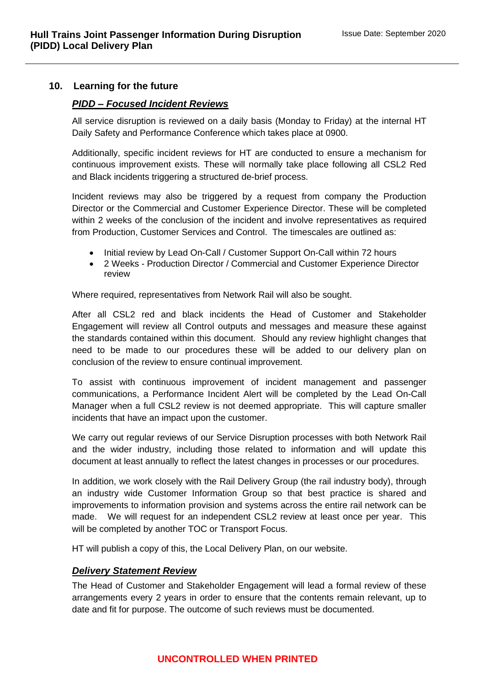#### **10. Learning for the future**

#### *PIDD – Focused Incident Reviews*

All service disruption is reviewed on a daily basis (Monday to Friday) at the internal HT Daily Safety and Performance Conference which takes place at 0900.

Additionally, specific incident reviews for HT are conducted to ensure a mechanism for continuous improvement exists. These will normally take place following all CSL2 Red and Black incidents triggering a structured de-brief process.

Incident reviews may also be triggered by a request from company the Production Director or the Commercial and Customer Experience Director. These will be completed within 2 weeks of the conclusion of the incident and involve representatives as required from Production, Customer Services and Control. The timescales are outlined as:

- Initial review by Lead On-Call / Customer Support On-Call within 72 hours
- 2 Weeks Production Director / Commercial and Customer Experience Director review

Where required, representatives from Network Rail will also be sought.

After all CSL2 red and black incidents the Head of Customer and Stakeholder Engagement will review all Control outputs and messages and measure these against the standards contained within this document. Should any review highlight changes that need to be made to our procedures these will be added to our delivery plan on conclusion of the review to ensure continual improvement.

To assist with continuous improvement of incident management and passenger communications, a Performance Incident Alert will be completed by the Lead On-Call Manager when a full CSL2 review is not deemed appropriate. This will capture smaller incidents that have an impact upon the customer.

We carry out regular reviews of our Service Disruption processes with both Network Rail and the wider industry, including those related to information and will update this document at least annually to reflect the latest changes in processes or our procedures.

In addition, we work closely with the Rail Delivery Group (the rail industry body), through an industry wide Customer Information Group so that best practice is shared and improvements to information provision and systems across the entire rail network can be made. We will request for an independent CSL2 review at least once per year. This will be completed by another TOC or Transport Focus.

HT will publish a copy of this, the Local Delivery Plan, on our website.

#### *Delivery Statement Review*

The Head of Customer and Stakeholder Engagement will lead a formal review of these arrangements every 2 years in order to ensure that the contents remain relevant, up to date and fit for purpose. The outcome of such reviews must be documented.